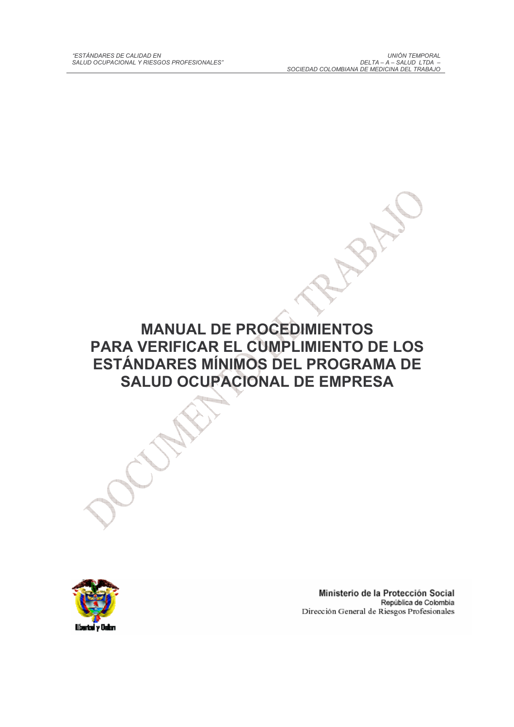**MANUAL DE PROCEDIMIENTOS** PARA VERIFICAR EL CUMPLIMIENTO DE LOS ESTÁNDARES MÍNIMOS DEL PROGRAMA DE **SALUD OCUPACIONAL DE EMPRESA** 



Ministerio de la Protección Social República de Colombia Dirección General de Riesgos Profesionales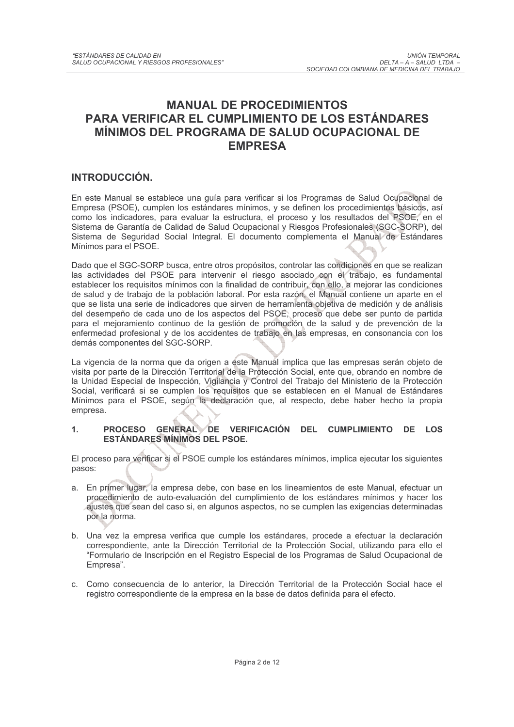## **MANUAL DE PROCEDIMIENTOS PARA VERIFICAR EL CUMPLIMIENTO DE LOS ESTÁNDARES** MÍNIMOS DEL PROGRAMA DE SALUD OCUPACIONAL DE **EMPRESA**

### INTRODUCCIÓN.

En este Manual se establece una guía para verificar si los Programas de Salud Ocupacional de Empresa (PSOE), cumplen los estándares mínimos, y se definen los procedimientos básicos, así como los indicadores, para evaluar la estructura, el proceso y los resultados del PSOE, en el Sistema de Garantía de Calidad de Salud Ocupacional y Riesgos Profesionales (SGC-SORP), del Sistema de Seguridad Social Integral. El documento complementa el Manual de Estándares Mínimos para el PSOE.

Dado que el SGC-SORP busca, entre otros propósitos, controlar las condiciones en que se realizan las actividades del PSOE para intervenir el riesgo asociado con el trabajo, es fundamental establecer los requisitos mínimos con la finalidad de contribuir, con ello, a mejorar las condiciones de salud y de trabajo de la población laboral. Por esta razón, el Manual contiene un aparte en el que se lista una serie de indicadores que sirven de herramienta objetiva de medición y de análisis del desempeño de cada uno de los aspectos del PSOE, proceso que debe ser punto de partida para el mejoramiento continuo de la gestión de promoción de la salud y de prevención de la enfermedad profesional y de los accidentes de trabajo en las empresas, en consonancia con los demás componentes del SGC-SORP.

La vigencia de la norma que da origen a este Manual implica que las empresas serán objeto de visita por parte de la Dirección Territorial de la Protección Social, ente que, obrando en nombre de la Unidad Especial de Inspección, Vigilancia y Control del Trabajo del Ministerio de la Protección Social, verificará si se cumplen los requisitos que se establecen en el Manual de Estándares Mínimos para el PSOE, según la declaración que, al respecto, debe haber hecho la propia empresa.

### PROCESO GENERAL DE VERIFICACIÓN DEL CUMPLIMIENTO DE LOS  $\mathbf{1}$ . **ESTÁNDARES MÍNIMOS DEL PSOE.**

El proceso para verificar si el PSOE cumple los estándares mínimos, implica ejecutar los siguientes pasos:

- a. En primer lugar, la empresa debe, con base en los lineamientos de este Manual, efectuar un procedimiento de auto-evaluación del cumplimiento de los estándares mínimos y hacer los ajustes que sean del caso si, en algunos aspectos, no se cumplen las exigencias determinadas por la norma.
- b. Una vez la empresa verifica que cumple los estándares, procede a efectuar la declaración correspondiente, ante la Dirección Territorial de la Protección Social, utilizando para ello el "Formulario de Inscripción en el Registro Especial de los Programas de Salud Ocupacional de Empresa".
- c. Como consecuencia de lo anterior, la Dirección Territorial de la Protección Social hace el registro correspondiente de la empresa en la base de datos definida para el efecto.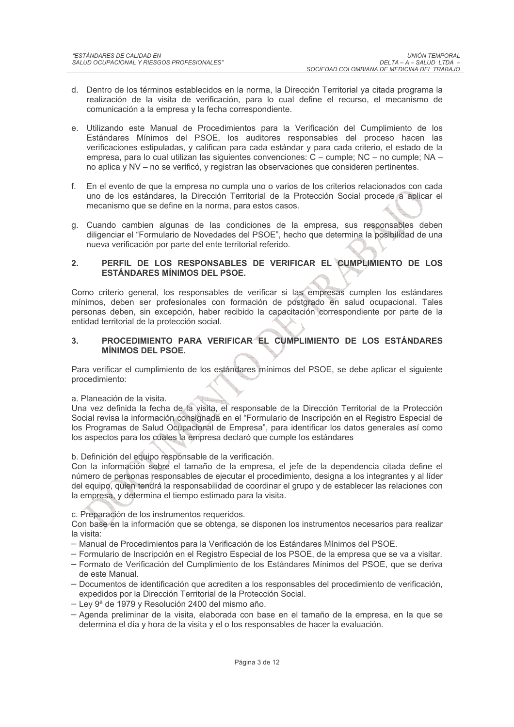- d. Dentro de los términos establecidos en la norma, la Dirección Territorial ya citada programa la realización de la visita de verificación, para lo cual define el recurso, el mecanismo de comunicación a la empresa y la fecha correspondiente.
- e. Utilizando este Manual de Procedimientos para la Verificación del Cumplimiento de los Estándares Mínimos del PSOE, los auditores responsables del proceso hacen las verificaciones estipuladas, y califican para cada estándar y para cada criterio, el estado de la empresa, para lo cual utilizan las siguientes convenciones: C – cumple; NC – no cumple; NA – no aplica y NV – no se verificó, y registran las observaciones que consideren pertinentes.
- f. En el evento de que la empresa no cumpla uno o varios de los criterios relacionados con cada uno de los estándares, la Dirección Territorial de la Protección Social procede a aplicar el mecanismo que se define en la norma, para estos casos.
- g. Cuando cambien algunas de las condiciones de la empresa, sus responsables deben diligenciar el "Formulario de Novedades del PSOE", hecho que determina la posibilidad de una nueva verificación por parte del ente territorial referido.

### PERFIL DE LOS RESPONSABLES DE VERIFICAR EL CUMPLIMIENTO DE LOS  $2.$ **ESTÁNDARES MÍNIMOS DEL PSOE.**

Como criterio general, los responsables de verificar si las empresas cumplen los estándares mínimos, deben ser profesionales con formación de postgrado en salud ocupacional. Tales personas deben, sin excepción, haber recibido la capacitación correspondiente por parte de la entidad territorial de la protección social.

### PROCEDIMIENTO PARA VERIFICAR EL CUMPLIMIENTO DE LOS ESTÁNDARES  $3.$ **MÍNIMOS DEL PSOE.**

Para verificar el cumplimiento de los estándares mínimos del PSOE, se debe aplicar el siguiente procedimiento:

a. Planeación de la visita.

Una vez definida la fecha de la visita, el responsable de la Dirección Territorial de la Protección Social revisa la información consignada en el "Formulario de Inscripción en el Registro Especial de los Programas de Salud Ocupacional de Empresa", para identificar los datos generales así como los aspectos para los cuales la empresa declaró que cumple los estándares

b. Definición del equipo responsable de la verificación.

Con la información sobre el tamaño de la empresa, el jefe de la dependencia citada define el número de personas responsables de ejecutar el procedimiento, designa a los integrantes y al líder del equipo, quien tendrá la responsabilidad de coordinar el grupo y de establecer las relaciones con la empresa, y determina el tiempo estimado para la visita.

c. Preparación de los instrumentos requeridos.

Con base en la información que se obtenga, se disponen los instrumentos necesarios para realizar la visita:

- Manual de Procedimientos para la Verificación de los Estándares Mínimos del PSOE.
- Formulario de Inscripción en el Registro Especial de los PSOE, de la empresa que se va a visitar. - Formato de Verificación del Cumplimiento de los Estándares Mínimos del PSOE, que se deriva
- de este Manual.
- Documentos de identificación que acrediten a los responsables del procedimiento de verificación. expedidos por la Dirección Territorial de la Protección Social.
- Ley 9ª de 1979 y Resolución 2400 del mismo año.
- Agenda preliminar de la visita, elaborada con base en el tamaño de la empresa, en la que se determina el día y hora de la visita y el o los responsables de hacer la evaluación.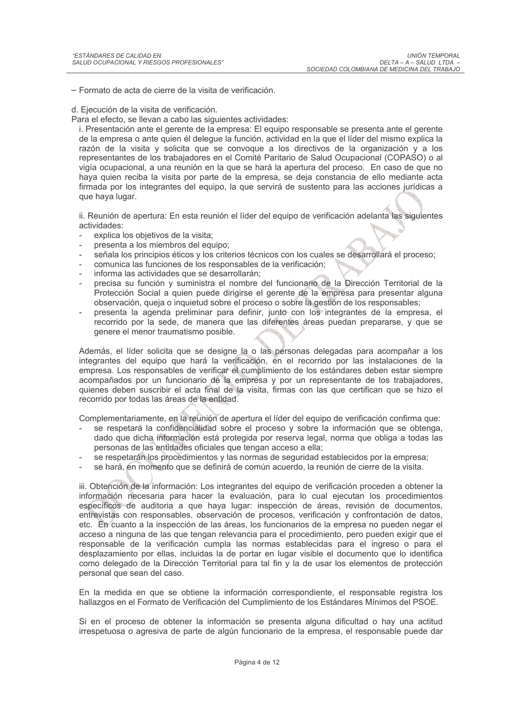- Formato de acta de cierre de la visita de verificación.

d. Ejecución de la visita de verificación.

Para el efecto, se llevan a cabo las siguientes actividades:

i. Presentación ante el gerente de la empresa: El equipo responsable se presenta ante el gerente de la empresa o ante quien él delegue la función, actividad en la que el líder del mismo explica la razón de la visita y solicita que se convoque a los directivos de la organización y a los representantes de los trabajadores en el Comité Paritario de Salud Ocupacional (COPASO) o al vigía ocupacional, a una reunión en la que se hará la apertura del proceso. En caso de que no hava quien reciba la visita por parte de la empresa, se deia constancia de ello mediante acta firmada por los integrantes del equipo, la que servirá de sustento para las acciones jurídicas a que haya lugar.

ii. Reunión de apertura: En esta reunión el líder del equipo de verificación adelanta las siguientes actividades:

- explica los objetivos de la visita;
- presenta a los miembros del equipo;
- señala los principios éticos y los criterios técnicos con los cuales se desarrollará el proceso;
- comunica las funciones de los responsables de la verificación;
- informa las actividades que se desarrollarán:
- precisa su función y suministra el nombre del funcionario de la Dirección Territorial de la Protección Social a quien puede dirigirse el gerente de la empresa para presentar alguna observación, queja o inquietud sobre el proceso o sobre la gestión de los responsables;
- presenta la agenda preliminar para definir, junto con los integrantes de la empresa, el recorrido por la sede, de manera que las diferentes áreas puedan prepararse, y que se genere el menor traumatismo posible.

Además, el líder solicita que se designe la o las personas delegadas para acompañar a los integrantes del equipo que hará la verificación, en el recorrido por las instalaciones de la empresa. Los responsables de verificar el cumplimiento de los estándares deben estar siempre acompañados por un funcionario de la empresa y por un representante de los trabajadores, quienes deben suscribir el acta final de la visita, firmas con las que certifican que se hizo el recorrido por todas las áreas de la entidad.

Complementariamente, en la reunión de apertura el líder del equipo de verificación confirma que:

- se respetará la confidencialidad sobre el proceso y sobre la información que se obtenga, dado que dicha información está protegida por reserva legal, norma que obliga a todas las personas de las entidades oficiales que tengan acceso a ella;
- se respetarán los procedimientos y las normas de seguridad establecidos por la empresa;
- se hará, en momento que se definirá de común acuerdo, la reunión de cierre de la visita.

iii. Obtención de la información: Los integrantes del equipo de verificación proceden a obtener la información necesaria para hacer la evaluación, para lo cual ejecutan los procedimientos específicos de auditoria a que haya lugar: inspección de áreas, revisión de documentos, entrevistas con responsables, observación de procesos, verificación y confrontación de datos, etc. En cuanto a la inspección de las áreas, los funcionarios de la empresa no pueden negar el acceso a ninguna de las que tengan relevancia para el procedimiento, pero pueden exigir que el responsable de la verificación cumpla las normas establecidas para el ingreso o para el desplazamiento por ellas, incluidas la de portar en lugar visible el documento que lo identifica como delegado de la Dirección Territorial para tal fin y la de usar los elementos de protección personal que sean del caso.

En la medida en que se obtiene la información correspondiente, el responsable registra los hallazgos en el Formato de Verificación del Cumplimiento de los Estándares Mínimos del PSOE.

Si en el proceso de obtener la información se presenta alguna dificultad o hay una actitud irrespetuosa o agresiva de parte de algún funcionario de la empresa, el responsable puede dar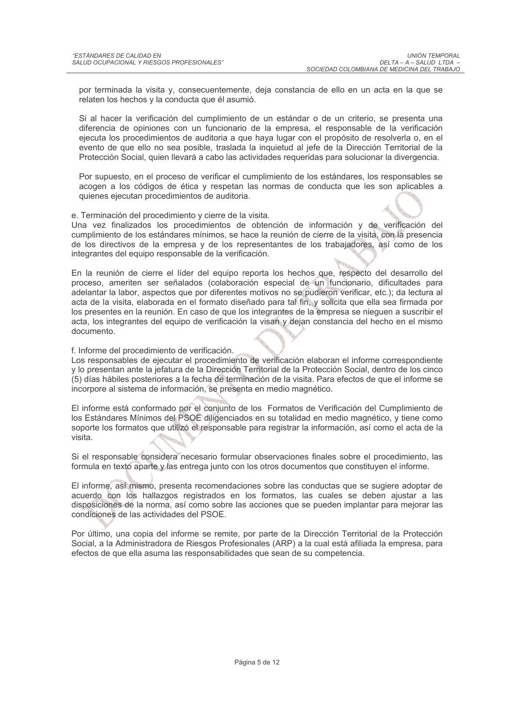por terminada la visita y, consecuentemente, deja constancia de ello en un acta en la que se relaten los hechos y la conducta que él asumió.

Si al hacer la verificación del cumplimiento de un estándar o de un criterio, se presenta una diferencia de opiniones con un funcionario de la empresa, el responsable de la verificación ejecuta los procedimientos de auditoria a que haya lugar con el propósito de resolverla o, en el evento de que ello no sea posible, traslada la inquietud al jefe de la Dirección Territorial de la Protección Social, quien llevará a cabo las actividades requeridas para solucionar la divergencia.

Por supuesto, en el proceso de verificar el cumplimiento de los estándares, los responsables se acogen a los códigos de ética y respetan las normas de conducta que les son aplicables a quienes ejecutan procedimientos de auditoria.

e. Terminación del procedimiento y cierre de la visita.

Una vez finalizados los procedimientos de obtención de información y de verificación del cumplimiento de los estándares mínimos, se hace la reunión de cierre de la visita, con la presencia de los directivos de la empresa y de los representantes de los trabajadores, así como de los integrantes del equipo responsable de la verificación.

En la reunión de cierre el líder del equipo reporta los hechos que, respecto del desarrollo del proceso, ameriten ser señalados (colaboración especial de un funcionario, dificultades para adelantar la labor, aspectos que por diferentes motivos no se pudieron verificar, etc.); da lectura al acta de la visita, elaborada en el formato diseñado para tal fin, y solicita que ella sea firmada por los presentes en la reunión. En caso de que los integrantes de la empresa se nieguen a suscribir el acta, los integrantes del equipo de verificación la visan y dejan constancia del hecho en el mismo documento.

f. Informe del procedimiento de verificación.

Los responsables de ejecutar el procedimiento de verificación elaboran el informe correspondiente y lo presentan ante la jefatura de la Dirección Territorial de la Protección Social, dentro de los cinco (5) días hábiles posteriores a la fecha de terminación de la visita. Para efectos de que el informe se incorpore al sistema de información, se presenta en medio magnético.

El informe está conformado por el conjunto de los Formatos de Verificación del Cumplimiento de los Estándares Mínimos del PSOE diligenciados en su totalidad en medio magnético, y tiene como soporte los formatos que utilizó el responsable para registrar la información, así como el acta de la visita.

Si el responsable considera necesario formular observaciones finales sobre el procedimiento, las formula en texto aparte y las entrega junto con los otros documentos que constituyen el informe.

El informe, así mismo, presenta recomendaciones sobre las conductas que se sugiere adoptar de acuerdo con los hallazgos registrados en los formatos, las cuales se deben ajustar a las disposiciones de la norma, así como sobre las acciones que se pueden implantar para mejorar las condiciones de las actividades del PSOE.

Por último, una copia del informe se remite, por parte de la Dirección Territorial de la Protección Social, a la Administradora de Riesgos Profesionales (ARP) a la cual está afiliada la empresa, para efectos de que ella asuma las responsabilidades que sean de su competencia.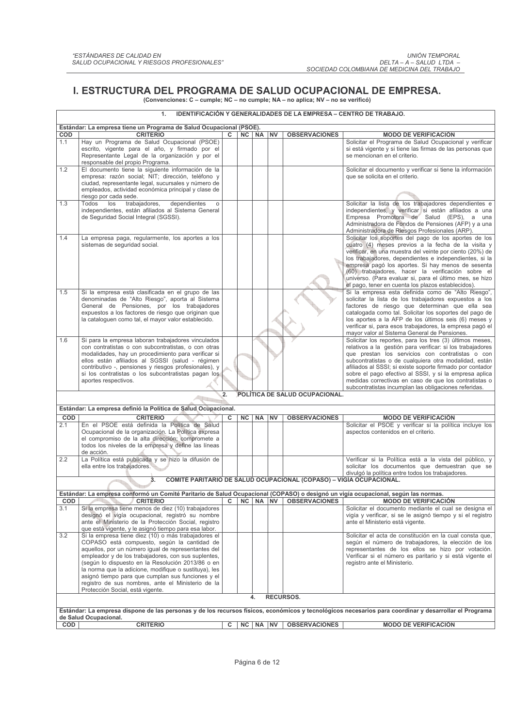### I. ESTRUCTURA DEL PROGRAMA DE SALUD OCUPACIONAL DE EMPRESA. (Convenciones: C – cumple; NC – no cumple; NA – no aplica; NV – no se verificó)

| 1.<br><b>IDENTIFICACION Y GENERALIDADES DE LA EMPRESA – CENTRO DE TRABAJO.</b> |                                                                                                                                                                                                                                                                                                                                                                                                                                                                              |    |    |          |  |                                                                     |                                                                                                                                                                                                                                                                                                                                                                                                                                                                              |  |  |
|--------------------------------------------------------------------------------|------------------------------------------------------------------------------------------------------------------------------------------------------------------------------------------------------------------------------------------------------------------------------------------------------------------------------------------------------------------------------------------------------------------------------------------------------------------------------|----|----|----------|--|---------------------------------------------------------------------|------------------------------------------------------------------------------------------------------------------------------------------------------------------------------------------------------------------------------------------------------------------------------------------------------------------------------------------------------------------------------------------------------------------------------------------------------------------------------|--|--|
|                                                                                | Estándar: La empresa tiene un Programa de Salud Ocupacional (PSOE).                                                                                                                                                                                                                                                                                                                                                                                                          |    |    |          |  |                                                                     |                                                                                                                                                                                                                                                                                                                                                                                                                                                                              |  |  |
| COD                                                                            | <b>CRITERIO</b>                                                                                                                                                                                                                                                                                                                                                                                                                                                              | C. |    | NC NA NV |  | <b>OBSERVACIONES</b>                                                | <b>MODO DE VERIFICACIÓN</b>                                                                                                                                                                                                                                                                                                                                                                                                                                                  |  |  |
| 1.1                                                                            | Hay un Programa de Salud Ocupacional (PSOE)<br>escrito, vigente para el año, y firmado por el<br>Representante Legal de la organización y por el<br>responsable del propio Programa.                                                                                                                                                                                                                                                                                         |    |    |          |  |                                                                     | Solicitar el Programa de Salud Ocupacional y verificar<br>si está vigente y si tiene las firmas de las personas que<br>se mencionan en el criterio.                                                                                                                                                                                                                                                                                                                          |  |  |
| 1.2                                                                            | El documento tiene la siguiente información de la<br>empresa: razón social; NIT; dirección, teléfono y<br>ciudad, representante legal, sucursales y número de<br>empleados, actividad económica principal y clase de<br>riesgo por cada sede.                                                                                                                                                                                                                                |    |    |          |  |                                                                     | Solicitar el documento y verificar si tiene la información<br>que se solicita en el criterio.                                                                                                                                                                                                                                                                                                                                                                                |  |  |
| 1.3                                                                            | Todos<br>los<br>trabajadores,<br>dependientes<br>$\circ$<br>independientes, están afiliados al Sistema General<br>de Seguridad Social Integral (SGSSI).                                                                                                                                                                                                                                                                                                                      |    |    |          |  |                                                                     | Solicitar la lista de los trabajadores dependientes e<br>independientes, y verificar si están afiliados a una<br>Empresa Promotora de Salud (EPS), a una<br>Administradora de Fondos de Pensiones (AFP) y a una<br>Administradora de Riesgos Profesionales (ARP).                                                                                                                                                                                                            |  |  |
| 1.4                                                                            | La empresa paga, regularmente, los aportes a los<br>sistemas de seguridad social.                                                                                                                                                                                                                                                                                                                                                                                            |    |    |          |  |                                                                     | Solicitar los soportes del pago de los aportes de los<br>cuatro (4) meses previos a la fecha de la visita y<br>verificar, en una muestra del veinte por ciento (20%) de<br>los trabajadores, dependientes e independientes, si la<br>empresa pagó los aportes. Si hay menos de sesenta<br>(60) trabajadores, hacer la verificación sobre el<br>universo. (Para evaluar si, para el último mes, se hizo<br>el pago, tener en cuenta los plazos establecidos).                 |  |  |
| 1.5                                                                            | Si la empresa está clasificada en el grupo de las<br>denominadas de "Alto Riesgo", aporta al Sistema<br>General de Pensiones, por los trabajadores<br>expuestos a los factores de riesgo que originan que<br>la cataloguen como tal, el mayor valor establecido.                                                                                                                                                                                                             |    |    |          |  |                                                                     | Si la empresa esta definida como de "Alto Riesgo",<br>solicitar la lista de los trabajadores expuestos a los<br>factores de riesgo que determinan que ella sea<br>catalogada como tal. Solicitar los soportes del pago de<br>los aportes a la AFP de los últimos seis (6) meses y<br>verificar si, para esos trabajadores, la empresa pagó el<br>mayor valor al Sistema General de Pensiones.                                                                                |  |  |
| 1.6                                                                            | Si para la empresa laboran trabajadores vinculados<br>con contratistas o con subcontratistas, o con otras<br>modalidades, hay un procedimiento para verificar si<br>ellos están afiliados al SGSSI (salud - régimen<br>contributivo -, pensiones y riesgos profesionales), y<br>si los contratistas o los subcontratistas pagan los<br>aportes respectivos.                                                                                                                  |    |    |          |  |                                                                     | Solicitar los reportes, para los tres (3) últimos meses,<br>relativos a la gestión para verificar: si los trabajadores<br>que prestan los servicios con contratistas o con<br>subcontratistas o de cualquiera otra modalidad, están<br>afiliados al SSSI; si existe soporte firmado por contador<br>sobre el pago efectivo al SSSI, y si la empresa aplica<br>medidas correctivas en caso de que los contratistas o<br>subcontratistas incumplan las obligaciones referidas. |  |  |
|                                                                                |                                                                                                                                                                                                                                                                                                                                                                                                                                                                              | 2. |    |          |  | POLÍTICA DE SALUD OCUPACIONAL.                                      |                                                                                                                                                                                                                                                                                                                                                                                                                                                                              |  |  |
|                                                                                | Estándar: La empresa definió la Política de Salud Ocupacional.                                                                                                                                                                                                                                                                                                                                                                                                               |    |    |          |  |                                                                     |                                                                                                                                                                                                                                                                                                                                                                                                                                                                              |  |  |
| <b>COD</b>                                                                     | <b>CRITERIO</b>                                                                                                                                                                                                                                                                                                                                                                                                                                                              | c  | NC | NA NV    |  | <b>OBSERVACIONES</b>                                                | <b>MODO DE VERIFICACIÓN</b>                                                                                                                                                                                                                                                                                                                                                                                                                                                  |  |  |
| 2.1                                                                            | En el PSOE está definida la Política de Salud<br>Ocupacional de la organización. La Política expresa<br>el compromiso de la alta dirección; compromete a<br>todos los niveles de la empresa y define las líneas<br>de acción.                                                                                                                                                                                                                                                |    |    |          |  |                                                                     | Solicitar el PSOE y verificar si la política incluye los<br>aspectos contenidos en el criterio.                                                                                                                                                                                                                                                                                                                                                                              |  |  |
| 2.2                                                                            | La Política está publicada y se hizo la difusión de<br>ella entre los trabajadores.                                                                                                                                                                                                                                                                                                                                                                                          |    |    |          |  |                                                                     | Verificar si la Política está a la vista del público, y<br>solicitar los documentos que demuestran que se<br>divulgó la política entre todos los trabajadores.                                                                                                                                                                                                                                                                                                               |  |  |
|                                                                                | 3.                                                                                                                                                                                                                                                                                                                                                                                                                                                                           |    |    |          |  | COMITÉ PARITARIO DE SALUD OCUPACIONAL (COPASO) - VIGÍA OCUPACIONAL. |                                                                                                                                                                                                                                                                                                                                                                                                                                                                              |  |  |
|                                                                                | Estándar: La empresa conformó un Comité Paritario de Salud Ocupacional (COPASO) o designó un vigía ocupacional, según las normas.                                                                                                                                                                                                                                                                                                                                            |    |    |          |  |                                                                     |                                                                                                                                                                                                                                                                                                                                                                                                                                                                              |  |  |
| COD<br>3.1                                                                     | <b>CRITERIO</b><br>Si la empresa tiene menos de diez (10) trabajadores                                                                                                                                                                                                                                                                                                                                                                                                       | C  |    | NC NA NV |  | <b>OBSERVACIONES</b>                                                | <b>MODO DE VERIFICACIÓN</b><br>Solicitar el documento mediante el cual se designa el                                                                                                                                                                                                                                                                                                                                                                                         |  |  |
|                                                                                | designó el vigía ocupacional, registró su nombre<br>ante el Ministerio de la Protección Social, registro<br>que está vigente, y le asignó tiempo para esa labor.                                                                                                                                                                                                                                                                                                             |    |    |          |  |                                                                     | vigía y verificar, si se le asignó tiempo y si el registro<br>ante el Ministerio está vigente.                                                                                                                                                                                                                                                                                                                                                                               |  |  |
| 3.2                                                                            | Si la empresa tiene diez (10) o más trabajadores el<br>COPASO está compuesto, según la cantidad de<br>aquellos, por un número igual de representantes del<br>empleador y de los trabajadores, con sus suplentes,<br>(según lo dispuesto en la Resolución 2013/86 o en<br>la norma que la adicione, modifique o sustituya), les<br>asignó tiempo para que cumplan sus funciones y el<br>registro de sus nombres, ante el Ministerio de la<br>Protección Social, está vigente. |    |    |          |  |                                                                     | Solicitar el acta de constitución en la cual consta que,<br>según el número de trabajadores, la elección de los<br>representantes de los ellos se hizo por votación.<br>Verificar si el número es paritario y si está vigente el<br>registro ante el Ministerio.                                                                                                                                                                                                             |  |  |
|                                                                                |                                                                                                                                                                                                                                                                                                                                                                                                                                                                              |    |    | 4.       |  | <b>RECURSOS.</b>                                                    |                                                                                                                                                                                                                                                                                                                                                                                                                                                                              |  |  |
|                                                                                | de Salud Ocupacional.                                                                                                                                                                                                                                                                                                                                                                                                                                                        |    |    |          |  |                                                                     | Estándar: La empresa dispone de las personas y de los recursos físicos, económicos y tecnológicos necesarios para coordinar y desarrollar el Programa                                                                                                                                                                                                                                                                                                                        |  |  |
| COD                                                                            | <b>CRITERIO</b>                                                                                                                                                                                                                                                                                                                                                                                                                                                              | с  |    | NC NA NV |  | <b>OBSERVACIONES</b>                                                | <b>MODO DE VERIFICACIÓN</b>                                                                                                                                                                                                                                                                                                                                                                                                                                                  |  |  |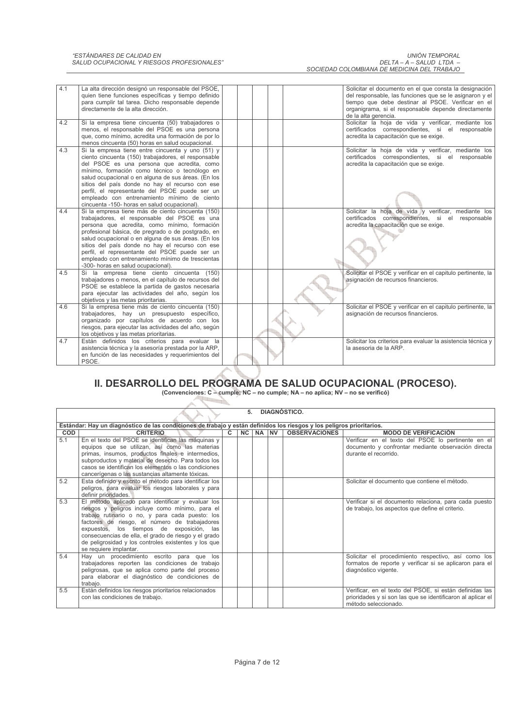| 4.1<br>4.2 | La alta dirección designó un responsable del PSOE,<br>quien tiene funciones específicas y tiempo definido<br>para cumplir tal tarea. Dicho responsable depende<br>directamente de la alta dirección.<br>Si la empresa tiene cincuenta (50) trabajadores o<br>menos, el responsable del PSOE es una persona<br>que, como mínimo, acredita una formación de por lo                                                                                              |  |  | Solicitar el documento en el que consta la designación<br>del responsable, las funciones que se le asignaron y el<br>tiempo que debe destinar al PSOE. Verificar en el<br>organigrama, si el responsable depende directamente<br>de la alta gerencia.<br>Solicitar la hoja de vida y verificar, mediante los<br>certificados correspondientes, si el responsable<br>acredita la capacitación que se exige. |
|------------|---------------------------------------------------------------------------------------------------------------------------------------------------------------------------------------------------------------------------------------------------------------------------------------------------------------------------------------------------------------------------------------------------------------------------------------------------------------|--|--|------------------------------------------------------------------------------------------------------------------------------------------------------------------------------------------------------------------------------------------------------------------------------------------------------------------------------------------------------------------------------------------------------------|
| 4.3        | menos cincuenta (50) horas en salud ocupacional.<br>Si la empresa tiene entre cincuenta y uno (51) y<br>ciento cincuenta (150) trabajadores, el responsable<br>del PSOE es una persona que acredita, como<br>mínimo, formación como técnico o tecnólogo en                                                                                                                                                                                                    |  |  | Solicitar la hoja de vida y verificar, mediante los<br>certificados correspondientes, si el responsable<br>acredita la capacitación que se exige.                                                                                                                                                                                                                                                          |
|            | salud ocupacional o en alguna de sus áreas. (En los<br>sitios del país donde no hay el recurso con ese<br>perfil, el representante del PSOE puede ser un<br>empleado con entrenamiento mínimo de ciento<br>cincuenta -150- horas en salud ocupacional).                                                                                                                                                                                                       |  |  |                                                                                                                                                                                                                                                                                                                                                                                                            |
| 4.4        | Si la empresa tiene más de ciento cincuenta (150)<br>trabajadores, el responsable del PSOE es una<br>persona que acredita, como mínimo, formación<br>profesional básica, de pregrado o de postgrado, en<br>salud ocupacional o en alguna de sus áreas. (En los<br>sitios del país donde no hay el recurso con ese<br>perfil, el representante del PSOE puede ser un<br>empleado con entrenamiento mínimo de trescientas<br>-300- horas en salud ocupacional). |  |  | Solicitar la hoja de vida y verificar, mediante los<br>certificados correspondientes, si el responsable<br>acredita la capacitación que se exige.                                                                                                                                                                                                                                                          |
| 4.5        | Si la empresa tiene ciento cincuenta (150)<br>trabajadores o menos, en el capítulo de recursos del<br>PSOE se establece la partida de gastos necesaria<br>para ejecutar las actividades del año, según los<br>objetivos y las metas prioritarias.                                                                                                                                                                                                             |  |  | Solicitar el PSOE y verificar en el capitulo pertinente, la<br>asignación de recursos financieros.                                                                                                                                                                                                                                                                                                         |
| 4.6        | Si la empresa tiene más de ciento cincuenta (150)<br>trabajadores, hay un presupuesto específico,<br>organizado por capítulos de acuerdo con los<br>riesgos, para ejecutar las actividades del año, según<br>los objetivos y las metas prioritarias.                                                                                                                                                                                                          |  |  | Solicitar el PSOE y verificar en el capitulo pertinente, la<br>asignación de recursos financieros.                                                                                                                                                                                                                                                                                                         |
| 4.7        | Están definidos los criterios para evaluar la<br>asistencia técnica y la asesoría prestada por la ARP,<br>en función de las necesidades y requerimientos del<br>PSOE.                                                                                                                                                                                                                                                                                         |  |  | Solicitar los criterios para evaluar la asistencia técnica y<br>la asesoria de la ARP.                                                                                                                                                                                                                                                                                                                     |

# II. DESARROLLO DEL PROGRAMA DE SALUD OCUPACIONAL (PROCESO).

(Convenciones: C – cumple; NC – no cumple; NA – no aplica; NV – no se verificó) 

Ä r.

|            | DIAGNÓSTICO.<br>5.                                                                                                                                                                                                                                                                                                                                                                              |              |  |          |  |                      |                                                                                                                                                |  |  |  |
|------------|-------------------------------------------------------------------------------------------------------------------------------------------------------------------------------------------------------------------------------------------------------------------------------------------------------------------------------------------------------------------------------------------------|--------------|--|----------|--|----------------------|------------------------------------------------------------------------------------------------------------------------------------------------|--|--|--|
|            | Estándar: Hay un diagnóstico de las condiciones de trabajo y están definidos los riesgos y los peligros prioritarios.                                                                                                                                                                                                                                                                           |              |  |          |  |                      |                                                                                                                                                |  |  |  |
| <b>COD</b> | <b>CRITERIO</b>                                                                                                                                                                                                                                                                                                                                                                                 | $\mathbf{C}$ |  | NC NA NV |  | <b>OBSERVACIONES</b> | <b>MODO DE VERIFICACIÓN</b>                                                                                                                    |  |  |  |
| 5.1        | En el texto del PSOE se identifican las máquinas y<br>equipos que se utilizan, así como las materias<br>primas, insumos, productos finales e intermedios,<br>subproductos y material de desecho. Para todos los<br>casos se identifican los elementos o las condiciones<br>cancerígenas o las sustancias altamente tóxicas.                                                                     |              |  |          |  |                      | Verificar en el texto del PSOE lo pertinente en el<br>documento y confrontar mediante observación directa<br>durante el recorrido.             |  |  |  |
| 5.2        | Esta definido y escrito el método para identificar los<br>peligros, para evaluar los riesgos laborales y para<br>definir prioridades.                                                                                                                                                                                                                                                           |              |  |          |  |                      | Solicitar el documento que contiene el método.                                                                                                 |  |  |  |
| 5.3        | El método aplicado para identificar y evaluar los<br>riesgos y peligros incluye como mínimo, para el<br>trabajo rutinario o no, y para cada puesto: los<br>factores de riesgo, el número de trabajadores<br>expuestos, los tiempos de exposición, las<br>consecuencias de ella, el grado de riesgo y el grado<br>de peligrosidad y los controles existentes y los que<br>se requiere implantar. |              |  |          |  |                      | Verificar si el documento relaciona, para cada puesto<br>de trabajo, los aspectos que define el criterio.                                      |  |  |  |
| 5.4        | Hay un procedimiento escrito para que los<br>trabajadores reporten las condiciones de trabajo<br>peligrosas, que se aplica como parte del proceso<br>para elaborar el diagnóstico de condiciones de<br>trabajo.                                                                                                                                                                                 |              |  |          |  |                      | Solicitar el procedimiento respectivo, así como los<br>formatos de reporte y verificar si se aplicaron para el<br>diagnóstico vigente.         |  |  |  |
| 5.5        | Están definidos los riesgos prioritarios relacionados<br>con las condiciones de trabajo.                                                                                                                                                                                                                                                                                                        |              |  |          |  |                      | Verificar, en el texto del PSOE, si están definidas las<br>prioridades y si son las que se identificaron al aplicar el<br>método seleccionado. |  |  |  |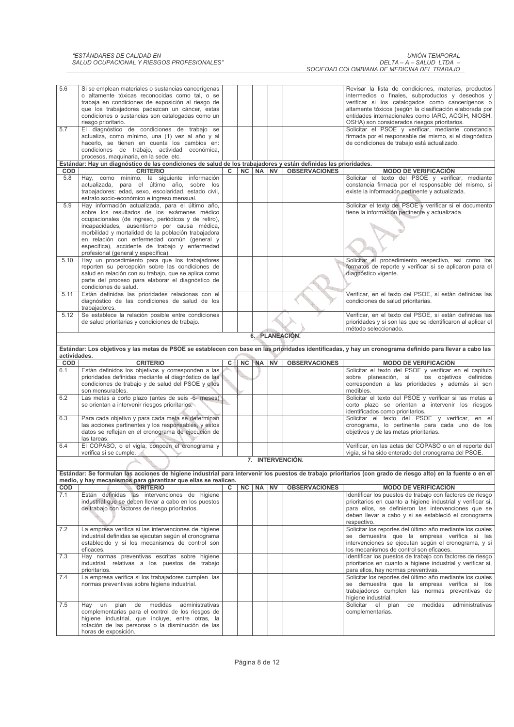| 5.6          | Si se emplean materiales o sustancias cancerígenas                                                              |   |           |           |           |                      | Revisar la lista de condiciones, materias, productos                                                                                                         |
|--------------|-----------------------------------------------------------------------------------------------------------------|---|-----------|-----------|-----------|----------------------|--------------------------------------------------------------------------------------------------------------------------------------------------------------|
|              | o altamente tóxicas reconocidas como tal, o se                                                                  |   |           |           |           |                      | intermedios o finales, subproductos y desechos y                                                                                                             |
|              | trabaja en condiciones de exposición al riesgo de                                                               |   |           |           |           |                      | verificar si los catalogados como cancerígenos o                                                                                                             |
|              | que los trabajadores padezcan un cáncer, estas                                                                  |   |           |           |           |                      | altamente tóxicos (según la clasificación elaborada por                                                                                                      |
|              | condiciones o sustancias son catalogadas como un                                                                |   |           |           |           |                      | entidades internacionales como IARC, ACGIH, NIOSH,                                                                                                           |
|              | riesgo prioritario.                                                                                             |   |           |           |           |                      | OSHA) son considerados riesgos prioritarios.                                                                                                                 |
| 5.7          | El diagnóstico de condiciones de trabajo se                                                                     |   |           |           |           |                      | Solicitar el PSOE y verificar, mediante constancia                                                                                                           |
|              | actualiza, como mínimo, una (1) vez al año y al                                                                 |   |           |           |           |                      | firmada por el responsable del mismo, si el diagnóstico                                                                                                      |
|              | hacerlo, se tienen en cuenta los cambios en:                                                                    |   |           |           |           |                      | de condiciones de trabajo está actualizado.                                                                                                                  |
|              | condiciones de trabajo, actividad económica,                                                                    |   |           |           |           |                      |                                                                                                                                                              |
|              | procesos, maquinaria, en la sede, etc.                                                                          |   |           |           |           |                      |                                                                                                                                                              |
|              | Estándar: Hay un diagnóstico de las condiciones de salud de los trabajadores y están definidas las prioridades. |   |           |           |           |                      |                                                                                                                                                              |
| <b>COD</b>   | <b>CRITERIO</b>                                                                                                 | c | <b>NC</b> | NA NV     |           | <b>OBSERVACIONES</b> | <b>MODO DE VERIFICACIÓN</b>                                                                                                                                  |
| 5.8          | Hay, como mínimo, la siguiente información                                                                      |   |           |           |           |                      | Solicitar el texto del PSOE y verificar, mediante                                                                                                            |
|              | actualizada, para el último año, sobre los                                                                      |   |           |           |           |                      | constancia firmada por el responsable del mismo, si                                                                                                          |
|              | trabajadores: edad, sexo, escolaridad, estado civil,                                                            |   |           |           |           |                      | existe la información pertinente y actualizada.                                                                                                              |
|              | estrato socio-económico e ingreso mensual.                                                                      |   |           |           |           |                      |                                                                                                                                                              |
| 5.9          | Hay información actualizada, para el último año,                                                                |   |           |           |           |                      | Solicitar el texto del PSOE y verificar si el documento                                                                                                      |
|              | sobre los resultados de los exámenes médico                                                                     |   |           |           |           |                      | tiene la información pertinente y actualizada.                                                                                                               |
|              | ocupacionales (de ingreso, periódicos y de retiro),                                                             |   |           |           |           |                      |                                                                                                                                                              |
|              | incapacidades, ausentismo por causa médica,                                                                     |   |           |           |           |                      |                                                                                                                                                              |
|              | morbilidad y mortalidad de la población trabajadora                                                             |   |           |           |           |                      |                                                                                                                                                              |
|              | en relación con enfermedad común (general y                                                                     |   |           |           |           |                      |                                                                                                                                                              |
|              | específica), accidente de trabajo y enfermedad                                                                  |   |           |           |           |                      |                                                                                                                                                              |
|              | profesional (general y específica).                                                                             |   |           |           |           |                      |                                                                                                                                                              |
| 5.10         | Hay un procedimiento para que los trabajadores                                                                  |   |           |           |           |                      | Solicitar el procedimiento respectivo, así como los                                                                                                          |
|              | reporten su percepción sobre las condiciones de                                                                 |   |           |           |           |                      | formatos de reporte y verificar si se aplicaron para el                                                                                                      |
|              | salud en relación con su trabajo, que se aplica como                                                            |   |           |           |           |                      | diagnóstico vigente.                                                                                                                                         |
|              | parte del proceso para elaborar el diagnóstico de                                                               |   |           |           |           |                      |                                                                                                                                                              |
|              | condiciones de salud.                                                                                           |   |           |           |           |                      |                                                                                                                                                              |
| 5.11         | Están definidas las prioridades relacionas con el                                                               |   |           |           |           |                      | Verificar, en el texto del PSOE, si están definidas las                                                                                                      |
|              | diagnóstico de las condiciones de salud de los                                                                  |   |           |           |           |                      | condiciones de salud prioritarias.                                                                                                                           |
|              | trabajadores.                                                                                                   |   |           |           |           |                      |                                                                                                                                                              |
| 5.12         | Se establece la relación posible entre condiciones                                                              |   |           |           |           |                      | Verificar, en el texto del PSOE, si están definidas las                                                                                                      |
|              | de salud prioritarias y condiciones de trabajo.                                                                 |   |           |           |           |                      | prioridades y si son las que se identificaron al aplicar el                                                                                                  |
|              |                                                                                                                 |   |           |           |           |                      | método seleccionado.                                                                                                                                         |
|              |                                                                                                                 |   |           |           |           | 6. PLANEACIÓN.       |                                                                                                                                                              |
|              |                                                                                                                 |   |           |           |           |                      | Estándar: Los objetivos y las metas de PSOE se establecen con base en las prioridades identificadas, y hay un cronograma definido para llevar a cabo las     |
| actividades. |                                                                                                                 |   |           |           |           |                      |                                                                                                                                                              |
|              |                                                                                                                 |   |           |           |           |                      |                                                                                                                                                              |
|              |                                                                                                                 |   |           |           |           |                      |                                                                                                                                                              |
| COD          | <b>CRITERIO</b>                                                                                                 | c | <b>NC</b> | NA NV     |           | <b>OBSERVACIONES</b> | <b>MODO DE VERIFICACIÓN</b>                                                                                                                                  |
| 6.1          | Están definidos los objetivos y corresponden a las                                                              |   |           |           |           |                      | Solicitar el texto del PSOE y verificar en el capitulo                                                                                                       |
|              | prioridades definidas mediante el diagnóstico de las                                                            |   |           |           |           |                      | los objetivos definidos<br>sobre planeación, si                                                                                                              |
|              | condiciones de trabajo y de salud del PSOE y ellos<br>son mensurables.                                          |   |           |           |           |                      | corresponden a las prioridades y además si son<br>medibles.                                                                                                  |
| 6.2          | Las metas a corto plazo (antes de seis -6- meses)                                                               |   |           |           |           |                      | Solicitar el texto del PSOE y verificar si las metas a                                                                                                       |
|              | se orientan a intervenir riesgos prioritarios.                                                                  |   |           |           |           |                      | corto plazo se orientan a intervenir los riesgos                                                                                                             |
|              |                                                                                                                 |   |           |           |           |                      | identificados como prioritarios.                                                                                                                             |
| 6.3          | Para cada objetivo y para cada meta se determinan                                                               |   |           |           |           |                      | Solicitar el texto del PSOE y verificar, en el                                                                                                               |
|              | las acciones pertinentes y los responsables, y estos                                                            |   |           |           |           |                      | cronograma, lo pertinente para cada uno de los                                                                                                               |
|              | datos se reflejan en el cronograma de ejecución de                                                              |   |           |           |           |                      | objetivos y de las metas prioritarias.                                                                                                                       |
|              | las tareas.                                                                                                     |   |           |           |           |                      |                                                                                                                                                              |
| 6.4          | El COPASO, o el vigía, conocen el cronograma y                                                                  |   |           |           |           |                      | Verificar, en las actas del COPASO o en el reporte del                                                                                                       |
|              | verifica si se cumple.                                                                                          |   |           |           |           |                      | vigía, si ha sido enterado del cronograma del PSOE.                                                                                                          |
|              |                                                                                                                 |   |           |           |           | 7. INTERVENCIÓN.     |                                                                                                                                                              |
|              |                                                                                                                 |   |           |           |           |                      |                                                                                                                                                              |
|              |                                                                                                                 |   |           |           |           |                      | Estándar: Se formulan las acciones de higiene industrial para intervenir los puestos de trabajo prioritarios (con grado de riesgo alto) en la fuente o en el |
|              | medio, y hay mecanismos para garantizar que ellas se realicen.                                                  |   |           |           |           |                      |                                                                                                                                                              |
| COD          | <b>CRITERIO</b>                                                                                                 |   | NC        | <b>NA</b> | <b>NV</b> | <b>OBSERVACIONES</b> | <b>MODO DE VERIFICACIÓN</b>                                                                                                                                  |
| 7.1          | Están definidas las intervenciones de higiene                                                                   |   |           |           |           |                      | Identificar los puestos de trabajo con factores de riesgo                                                                                                    |
|              | industrial que se deben llevar a cabo en los puestos                                                            |   |           |           |           |                      | prioritarios en cuanto a higiene industrial y verificar si,                                                                                                  |
|              | de trabajo con factores de riesgo prioritarios.                                                                 |   |           |           |           |                      | para ellos, se definieron las intervenciones que se                                                                                                          |
|              |                                                                                                                 |   |           |           |           |                      | deben llevar a cabo y si se estableció el cronograma                                                                                                         |
|              |                                                                                                                 |   |           |           |           |                      | respectivo.                                                                                                                                                  |
| 7.2          | La empresa verifica si las intervenciones de higiene                                                            |   |           |           |           |                      | Solicitar los reportes del último año mediante los cuales                                                                                                    |
|              | industrial definidas se ejecutan según el cronograma                                                            |   |           |           |           |                      | se demuestra que la empresa verifica si las                                                                                                                  |
|              | establecido y si los mecanismos de control son                                                                  |   |           |           |           |                      | intervenciones se ejecutan según el cronograma, y si                                                                                                         |
|              | eficaces.                                                                                                       |   |           |           |           |                      | los mecanismos de control son eficaces.                                                                                                                      |
| 7.3          | Hay normas preventivas escritas sobre higiene                                                                   |   |           |           |           |                      | Identificar los puestos de trabajo con factores de riesgo                                                                                                    |
|              | industrial, relativas a los puestos de trabajo                                                                  |   |           |           |           |                      | prioritarios en cuanto a higiene industrial y verificar si,                                                                                                  |
|              | prioritarios.                                                                                                   |   |           |           |           |                      | para ellos, hay normas preventivas.                                                                                                                          |
| 7.4          | La empresa verifica si los trabajadores cumplen las                                                             |   |           |           |           |                      | Solicitar los reportes del último año mediante los cuales                                                                                                    |
|              | normas preventivas sobre higiene industrial.                                                                    |   |           |           |           |                      | se demuestra que la empresa verifica si los<br>trabajadores cumplen las normas preventivas de                                                                |
|              |                                                                                                                 |   |           |           |           |                      | higiene industrial.                                                                                                                                          |
| 7.5          | plan<br>de<br>medidas<br>administrativas<br>Hay un                                                              |   |           |           |           |                      | Solicitar el<br>plan<br>de<br>medidas<br>administrativas                                                                                                     |
|              | complementarias para el control de los riesgos de                                                               |   |           |           |           |                      | complementarias.                                                                                                                                             |
|              | higiene industrial, que incluye, entre otras, la                                                                |   |           |           |           |                      |                                                                                                                                                              |
|              | rotación de las personas o la disminución de las                                                                |   |           |           |           |                      |                                                                                                                                                              |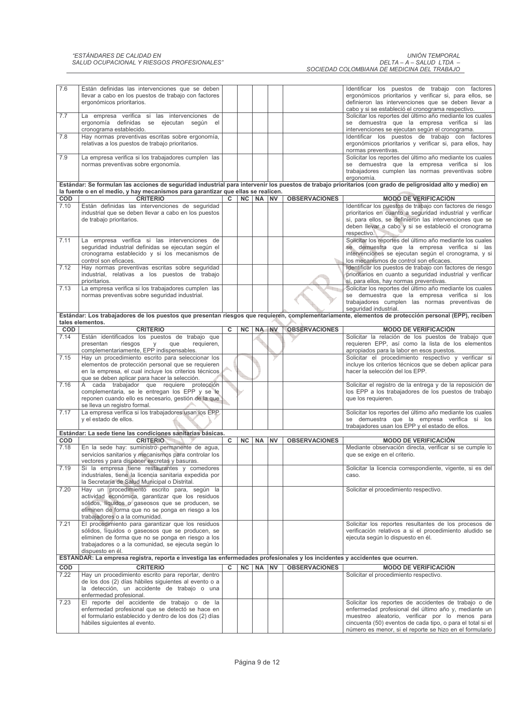# "ESTÁNDARES DE CALIDAD EN<br>SALUD OCUPACIONAL Y RIESGOS PROFESIONALES"

| <b>UNIÓN TEMPORAL</b>                       |  |
|---------------------------------------------|--|
| DELTA – A – SALUD LTDA –                    |  |
| SOCIEDAD COLOMBIANA DE MEDICINA DEL TRABAJO |  |

| 7.6         | Están definidas las intervenciones que se deben<br>llevar a cabo en los puestos de trabajo con factores<br>ergonómicos prioritarios. |   |           |           |           |                      | Identificar los puestos de trabajo con factores<br>ergonómicos prioritarios y verificar si, para ellos, se<br>definieron las intervenciones que se deben llevar a                                                                                        |
|-------------|--------------------------------------------------------------------------------------------------------------------------------------|---|-----------|-----------|-----------|----------------------|----------------------------------------------------------------------------------------------------------------------------------------------------------------------------------------------------------------------------------------------------------|
| 7.7         | La empresa verifica si las intervenciones de                                                                                         |   |           |           |           |                      | cabo y si se estableció el cronograma respectivo.<br>Solicitar los reportes del último año mediante los cuales                                                                                                                                           |
|             | ergonomía definidas se ejecutan según el                                                                                             |   |           |           |           |                      | se demuestra que la empresa verifica si las                                                                                                                                                                                                              |
| 7.8         | cronograma establecido.<br>Hay normas preventivas escritas sobre ergonomía,                                                          |   |           |           |           |                      | intervenciones se ejecutan según el cronograma.<br>Identificar los puestos de trabajo con factores                                                                                                                                                       |
|             | relativas a los puestos de trabajo prioritarios.                                                                                     |   |           |           |           |                      | ergonómicos prioritarios y verificar si, para ellos, hay                                                                                                                                                                                                 |
| 7.9         | La empresa verifica si los trabajadores cumplen las                                                                                  |   |           |           |           |                      | normas preventivas.<br>Solicitar los reportes del último año mediante los cuales                                                                                                                                                                         |
|             | normas preventivas sobre ergonomía.                                                                                                  |   |           |           |           |                      | se demuestra que la empresa verifica si los                                                                                                                                                                                                              |
|             |                                                                                                                                      |   |           |           |           |                      | trabajadores cumplen las normas preventivas sobre<br>ergonomía.                                                                                                                                                                                          |
|             |                                                                                                                                      |   |           |           |           |                      | Estándar: Se formulan las acciones de seguridad industrial para intervenir los puestos de trabajo prioritarios (con grado de peligrosidad alto y medio) en                                                                                               |
|             | la fuente o en el medio, y hay mecanismos para garantizar que ellas se realicen.                                                     |   |           |           |           |                      |                                                                                                                                                                                                                                                          |
| COD<br>7.10 | <b>CRITERIO</b>                                                                                                                      | C | NC        | <b>NA</b> | <b>NV</b> | <b>OBSERVACIONES</b> | <b>MODO DE VERIFICACIÓN</b>                                                                                                                                                                                                                              |
|             | Están definidas las intervenciones de seguridad<br>industrial que se deben llevar a cabo en los puestos<br>de trabajo prioritarios.  |   |           |           |           |                      | Identificar los puestos de trabajo con factores de riesgo<br>prioritarios en cuanto a seguridad industrial y verificar<br>si, para ellos, se definieron las intervenciones que se<br>deben llevar a cabo y si se estableció el cronograma<br>respectivo. |
| 7.11        | La empresa verifica si las intervenciones de                                                                                         |   |           |           |           |                      | Solicitar los reportes del último año mediante los cuales                                                                                                                                                                                                |
|             | seguridad industrial definidas se ejecutan según el<br>cronograma establecido y si los mecanismos de                                 |   |           |           |           |                      | se demuestra que la empresa verifica si las<br>intervenciones se ejecutan según el cronograma, y si                                                                                                                                                      |
|             | control son eficaces.                                                                                                                |   |           |           |           |                      | los mecanismos de control son eficaces.                                                                                                                                                                                                                  |
| 7.12        | Hay normas preventivas escritas sobre seguridad                                                                                      |   |           |           |           |                      | Identificar los puestos de trabajo con factores de riesgo                                                                                                                                                                                                |
|             | industrial, relativas a los puestos de trabajo                                                                                       |   |           |           |           |                      | prioritarios en cuanto a seguridad industrial y verificar                                                                                                                                                                                                |
| 7.13        | prioritarios.<br>La empresa verifica si los trabajadores cumplen las                                                                 |   |           |           |           |                      | si, para ellos, hay normas preventivas.<br>Solicitar los reportes del último año mediante los cuales                                                                                                                                                     |
|             | normas preventivas sobre seguridad industrial.                                                                                       |   |           |           |           |                      | se demuestra que la empresa verifica si los                                                                                                                                                                                                              |
|             |                                                                                                                                      |   |           |           |           |                      | trabajadores cumplen las normas preventivas de                                                                                                                                                                                                           |
|             |                                                                                                                                      |   |           |           |           |                      | seguridad industrial.<br>Estándar: Los trabajadores de los puestos que presentan riesgos que requieren, complementariamente, elementos de protección personal (EPP), reciben                                                                             |
|             | tales elementos.                                                                                                                     |   |           |           |           |                      |                                                                                                                                                                                                                                                          |
| COD         | <b>CRITERIO</b>                                                                                                                      | c | NC        | NA        | <b>NV</b> | <b>OBSERVACIONES</b> | <b>MODO DE VERIFICACIÓN</b>                                                                                                                                                                                                                              |
| 7.14        | Están identificados los puestos de trabajo que                                                                                       |   |           |           |           |                      | Solicitar la relación de los puestos de trabajo que                                                                                                                                                                                                      |
|             | presentan<br>riesgos<br>requieren,<br>y<br>que<br>complementariamente, EPP indispensables.                                           |   |           |           |           |                      | requieren EPP, así como la lista de los elementos<br>apropiados para la labor en esos puestos.                                                                                                                                                           |
| 7.15        | Hay un procedimiento escrito para seleccionar los                                                                                    |   |           |           |           |                      | Solicitar el procedimiento respectivo y verificar si                                                                                                                                                                                                     |
|             | elementos de protección personal que se requieren                                                                                    |   |           |           |           |                      | incluye los criterios técnicos que se deben aplicar para                                                                                                                                                                                                 |
|             | en la empresa, el cual incluye los criterios técnicos<br>que se deben aplicar para hacer la selección.                               |   |           |           |           |                      | hacer la selección del los EPP.                                                                                                                                                                                                                          |
| 7.16        | A cada trabajador que requiere protección                                                                                            |   |           |           |           |                      | Solicitar el registro de la entrega y de la reposición de                                                                                                                                                                                                |
|             | complementaria, se le entregan los EPP y se le                                                                                       |   |           |           |           |                      | los EPP a los trabajadores de los puestos de trabajo                                                                                                                                                                                                     |
|             | reponen cuando ello es necesario, gestión de la que<br>se lleva un registro formal.                                                  |   |           |           |           |                      | que los requieren.                                                                                                                                                                                                                                       |
| 7.17        | La empresa verifica si los trabajadores usan los EPP.                                                                                |   |           |           |           |                      | Solicitar los reportes del último año mediante los cuales                                                                                                                                                                                                |
|             | y el estado de ellos.                                                                                                                |   |           |           |           |                      | se demuestra que la empresa verifica si los                                                                                                                                                                                                              |
|             |                                                                                                                                      |   |           |           |           |                      | trabajadores usan los EPP y el estado de ellos.                                                                                                                                                                                                          |
| COD         | Estándar: La sede tiene las condiciones sanitarias básicas.<br><b>CRITERIO</b>                                                       | C | <b>NC</b> | NA        | <b>NV</b> | <b>OBSERVACIONES</b> | <b>MODO DE VERIFICACIÓN</b>                                                                                                                                                                                                                              |
| 7.18        | En la sede hay: suministro permanente de agua,                                                                                       |   |           |           |           |                      | Mediante observación directa, verificar si se cumple lo                                                                                                                                                                                                  |
|             | servicios sanitarios y mecanismos para controlar los                                                                                 |   |           |           |           |                      | que se exige en el criterio.                                                                                                                                                                                                                             |
|             | vectores y para disponer excretas y basuras.                                                                                         |   |           |           |           |                      |                                                                                                                                                                                                                                                          |
| 7.19        | Si la empresa tiene restaurantes y comedores<br>industriales, tiene la licencia sanitaria expedida por                               |   |           |           |           |                      | Solicitar la licencia correspondiente, vigente, si es del<br>caso.                                                                                                                                                                                       |
|             | la Secretaría de Salud Municipal o Distrital.                                                                                        |   |           |           |           |                      |                                                                                                                                                                                                                                                          |
| 7.20        | Hay un procedimiento escrito para, según la                                                                                          |   |           |           |           |                      | Solicitar el procedimiento respectivo.                                                                                                                                                                                                                   |
|             | actividad económica, garantizar que los residuos<br>sólidos, líquidos o gaseosos que se producen, se                                 |   |           |           |           |                      |                                                                                                                                                                                                                                                          |
|             | eliminen de forma que no se ponga en riesgo a los                                                                                    |   |           |           |           |                      |                                                                                                                                                                                                                                                          |
|             | trabajadores o a la comunidad.                                                                                                       |   |           |           |           |                      |                                                                                                                                                                                                                                                          |
| 7.21        | El procedimiento para garantizar que los residuos                                                                                    |   |           |           |           |                      | Solicitar los reportes resultantes de los procesos de                                                                                                                                                                                                    |
|             | sólidos, líquidos o gaseosos que se producen, se<br>eliminen de forma que no se ponga en riesgo a los                                |   |           |           |           |                      | verificación relativos a si el procedimiento aludido se<br>ejecuta según lo dispuesto en él.                                                                                                                                                             |
|             | trabajadores o a la comunidad, se ejecuta según lo                                                                                   |   |           |           |           |                      |                                                                                                                                                                                                                                                          |
|             | dispuesto en él.                                                                                                                     |   |           |           |           |                      |                                                                                                                                                                                                                                                          |
|             | ESTANDAR: La empresa registra, reporta e investiga las enfermedades profesionales y los incidentes y accidentes que ocurren.         |   |           |           |           |                      |                                                                                                                                                                                                                                                          |
| COD         | <b>CRITERIO</b>                                                                                                                      | c | NC        | NA NV     |           | <b>OBSERVACIONES</b> | <b>MODO DE VERIFICACIÓN</b>                                                                                                                                                                                                                              |
| 7.22        | Hay un procedimiento escrito para reportar, dentro<br>de los dos (2) días hábiles siguientes al evento o a                           |   |           |           |           |                      | Solicitar el procedimiento respectivo.                                                                                                                                                                                                                   |
|             | la detección, un accidente de trabajo o una                                                                                          |   |           |           |           |                      |                                                                                                                                                                                                                                                          |
|             | enfermedad profesional.                                                                                                              |   |           |           |           |                      |                                                                                                                                                                                                                                                          |
| 7.23        | El reporte del accidente de trabajo o de la                                                                                          |   |           |           |           |                      | Solicitar los reportes de accidentes de trabajo o de<br>enfermedad profesional del último año y, mediante un                                                                                                                                             |
|             | enfermedad profesional que se detectó se hace en<br>el formulario establecido y dentro de los dos (2) días                           |   |           |           |           |                      | muestreo aleatorio, verificar por lo menos para                                                                                                                                                                                                          |
|             | hábiles siguientes al evento.                                                                                                        |   |           |           |           |                      | cincuenta (50) eventos de cada tipo, o para el total si el                                                                                                                                                                                               |
|             |                                                                                                                                      |   |           |           |           |                      | número es menor, si el reporte se hizo en el formulario                                                                                                                                                                                                  |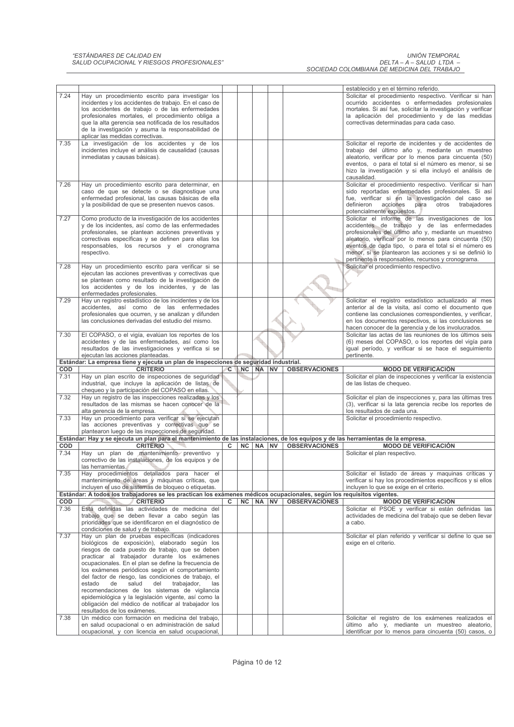## "ESTÁNDARES DE CALIDAD EN<br>SALUD OCUPACIONAL Y RIESGOS PROFESIONALES"

UNIÓN TEMPORAL<br>– DELTA – A – SALUD LTDA<br>– SOCIEDAD COLOMBIANA DE MEDICINA DEL TRABAJO

|      |                                                                                                                                    |          |    |          |                      | establecido y en el término referido.                                                                  |
|------|------------------------------------------------------------------------------------------------------------------------------------|----------|----|----------|----------------------|--------------------------------------------------------------------------------------------------------|
|      |                                                                                                                                    |          |    |          |                      |                                                                                                        |
| 7.24 | Hay un procedimiento escrito para investigar los                                                                                   |          |    |          |                      | Solicitar el procedimiento respectivo. Verificar si han                                                |
|      | incidentes y los accidentes de trabajo. En el caso de                                                                              |          |    |          |                      | ocurrido accidentes o enfermedades profesionales                                                       |
|      | los accidentes de trabajo o de las enfermedades                                                                                    |          |    |          |                      | mortales. Si así fue, solicitar la investigación y verificar                                           |
|      | profesionales mortales, el procedimiento obliga a                                                                                  |          |    |          |                      | la aplicación del procedimiento y de las medidas                                                       |
|      | que la alta gerencia sea notificada de los resultados                                                                              |          |    |          |                      | correctivas determinadas para cada caso.                                                               |
|      | de la investigación y asuma la responsabilidad de                                                                                  |          |    |          |                      |                                                                                                        |
|      | aplicar las medidas correctivas.                                                                                                   |          |    |          |                      |                                                                                                        |
| 7.35 | La investigación de los accidentes y de los                                                                                        |          |    |          |                      | Solicitar el reporte de incidentes y de accidentes de                                                  |
|      | incidentes incluye el análisis de causalidad (causas                                                                               |          |    |          |                      | trabajo del último año y, mediante un muestreo                                                         |
|      | inmediatas y causas básicas).                                                                                                      |          |    |          |                      | aleatorio, verificar por lo menos para cincuenta (50)                                                  |
|      |                                                                                                                                    |          |    |          |                      | eventos, o para el total si el número es menor, si se                                                  |
|      |                                                                                                                                    |          |    |          |                      | hizo la investigación y si ella incluyó el análisis de                                                 |
|      |                                                                                                                                    |          |    |          |                      | causalidad.                                                                                            |
| 7.26 | Hay un procedimiento escrito para determinar, en                                                                                   |          |    |          |                      | Solicitar el procedimiento respectivo. Verificar si han                                                |
|      | caso de que se detecte o se diagnostique una                                                                                       |          |    |          |                      | sido reportadas enfermedades profesionales. Si así                                                     |
|      | enfermedad profesional, las causas básicas de ella                                                                                 |          |    |          |                      | fue, verificar si en la investigación del caso se                                                      |
|      | y la posibilidad de que se presenten nuevos casos.                                                                                 |          |    |          |                      | definieron<br>acciones<br>para<br>otros<br>trabajadores                                                |
|      |                                                                                                                                    |          |    |          |                      | potencialmente expuestos.                                                                              |
| 7.27 |                                                                                                                                    |          |    |          |                      | Solicitar el informe de las investigaciones de los                                                     |
|      | Como producto de la investigación de los accidentes                                                                                |          |    |          |                      |                                                                                                        |
|      | y de los incidentes, así como de las enfermedades                                                                                  |          |    |          |                      | accidentes de trabajo y de las enfermedades                                                            |
|      | profesionales, se plantean acciones preventivas y                                                                                  |          |    |          |                      | profesionales del último año y, mediante un muestreo                                                   |
|      | correctivas específicas y se definen para ellas los                                                                                |          |    |          |                      | aleatorio, verificar por lo menos para cincuenta (50)                                                  |
|      | responsables, los recursos y el cronograma                                                                                         |          |    |          |                      | eventos de cada tipo, o para el total si el número es                                                  |
|      | respectivo.                                                                                                                        |          |    |          |                      | menor, si se plantearon las acciones y si se definió lo                                                |
|      |                                                                                                                                    |          |    |          |                      | pertinente a responsables, recursos y cronograma.                                                      |
| 7.28 | Hay un procedimiento escrito para verificar si se                                                                                  |          |    |          |                      | Solicitar el procedimiento respectivo.                                                                 |
|      | ejecutan las acciones preventivas y correctivas que                                                                                |          |    |          |                      |                                                                                                        |
|      | se plantean como resultado de la investigación de                                                                                  |          |    |          |                      |                                                                                                        |
|      | los accidentes y de los incidentes, y de las                                                                                       |          |    |          |                      |                                                                                                        |
|      | enfermedades profesionales.                                                                                                        |          |    |          |                      |                                                                                                        |
| 7.29 | Hay un registro estadístico de los incidentes y de los                                                                             |          |    |          |                      | Solicitar el registro estadístico actualizado al mes                                                   |
|      | accidentes, así como de las enfermedades                                                                                           |          |    |          |                      | anterior al de la visita, así como el documento que                                                    |
|      | profesionales que ocurren, y se analizan y difunden                                                                                |          |    |          |                      | contiene las conclusiones correspondientes, y verificar,                                               |
|      | las conclusiones derivadas del estudio del mismo.                                                                                  |          |    |          |                      | en los documentos respectivos, si las conclusiones se                                                  |
|      |                                                                                                                                    |          |    |          |                      | hacen conocer de la gerencia y de los involucrados.                                                    |
| 7.30 | El COPASO, o el vigía, evalúan los reportes de los                                                                                 |          |    |          |                      | Solicitar las actas de las reuniones de los últimos seis                                               |
|      | accidentes y de las enfermedades, así como los                                                                                     |          |    |          |                      | (6) meses del COPASO, o los reportes del vigía para                                                    |
|      |                                                                                                                                    |          |    |          |                      |                                                                                                        |
|      | resultados de las investigaciones y verifica si se                                                                                 |          |    |          |                      | igual período, y verificar si se hace el seguimiento<br>pertinente.                                    |
|      | ejecutan las acciones planteadas.                                                                                                  |          |    |          |                      |                                                                                                        |
|      |                                                                                                                                    |          |    |          |                      |                                                                                                        |
|      | Estándar: La empresa tiene y ejecuta un plan de inspecciones de seguridad industrial.                                              |          |    |          |                      |                                                                                                        |
| COD  | <b>CRITERIO</b>                                                                                                                    | <b>C</b> | NC | NA NV    | <b>OBSERVACIONES</b> | <b>MODO DE VERIFICACIÓN</b>                                                                            |
| 7.31 | Hay un plan escrito de inspecciones de seguridad                                                                                   |          |    |          |                      | Solicitar el plan de inspecciones y verificar la existencia                                            |
|      | industrial, que incluye la aplicación de listas de                                                                                 |          |    |          |                      | de las listas de chequeo.                                                                              |
|      | chequeo y la participación del COPASO en ellas.                                                                                    |          |    |          |                      |                                                                                                        |
| 7.32 | Hay un registro de las inspecciones realizadas y los                                                                               |          |    |          |                      | Solicitar el plan de inspecciones y, para las últimas tres                                             |
|      | resultados de las mismas se hacen conocer de la                                                                                    |          |    |          |                      | (3), verificar si la lata gerencia recibe los reportes de                                              |
|      | alta gerencia de la empresa.                                                                                                       |          |    |          |                      | los resultados de cada una.                                                                            |
| 7.33 | Hay un procedimiento para verificar si se ejecutan                                                                                 |          |    |          |                      | Solicitar el procedimiento respectivo.                                                                 |
|      | las acciones preventivas y correctivas que se                                                                                      |          |    |          |                      |                                                                                                        |
|      | plantearon luego de las inspecciones de seguridad.                                                                                 |          |    |          |                      |                                                                                                        |
|      | Estándar: Hay y se ejecuta un plan para el mantenimiento de las instalaciones, de los equipos y de las herramientas de la empresa. |          |    |          |                      |                                                                                                        |
| COD  | <b>CRITERIO</b>                                                                                                                    | c        | NC | NA NV    | <b>OBSERVACIONES</b> | <b>MODO DE VERIFICACIÓN</b>                                                                            |
| 7.34 |                                                                                                                                    |          |    |          |                      |                                                                                                        |
|      | Hay un plan de mantenimiento preventivo y                                                                                          |          |    |          |                      | Solicitar el plan respectivo.                                                                          |
|      | correctivo de las instalaciones, de los equipos y de                                                                               |          |    |          |                      |                                                                                                        |
|      | las herramientas.                                                                                                                  |          |    |          |                      |                                                                                                        |
| 7.35 | Hay procedimientos detallados para hacer el                                                                                        |          |    |          |                      | Solicitar el listado de áreas y maquinas críticas y                                                    |
|      | mantenimiento de áreas y máquinas críticas, que                                                                                    |          |    |          |                      | verificar si hay los procedimientos específicos y si ellos                                             |
|      | incluyen el uso de sistemas de bloqueo o etiquetas.                                                                                |          |    |          |                      | incluyen lo que se exige en el criterio.                                                               |
|      | Estándar: A todos los trabajadores se les practican los exámenes médicos ocupacionales, según los requisitos vigentes.             |          |    |          |                      |                                                                                                        |
| COD  | <b>CRITERIO</b>                                                                                                                    | C        |    | NC NA NV | <b>OBSERVACIONES</b> | <b>MODO DE VERIFICACIÓN</b>                                                                            |
| 7.36 | Está definidas las actividades de medicina del                                                                                     |          |    |          |                      | Solicitar el PSOE y verificar si están definidas las                                                   |
|      | trabajo que se deben llevar a cabo según las                                                                                       |          |    |          |                      | actividades de medicina del trabajo que se deben llevar                                                |
|      | prioridades que se identificaron en el diagnóstico de                                                                              |          |    |          |                      | a cabo.                                                                                                |
|      | condiciones de salud y de trabajo.                                                                                                 |          |    |          |                      |                                                                                                        |
| 7.37 | Hay un plan de pruebas específicas (indicadores                                                                                    |          |    |          |                      | Solicitar el plan referido y verificar si define lo que se                                             |
|      | biológicos de exposición), elaborado según los                                                                                     |          |    |          |                      | exige en el criterio.                                                                                  |
|      | riesgos de cada puesto de trabajo, que se deben                                                                                    |          |    |          |                      |                                                                                                        |
|      | practicar al trabajador durante los exámenes                                                                                       |          |    |          |                      |                                                                                                        |
|      | ocupacionales. En el plan se define la frecuencia de                                                                               |          |    |          |                      |                                                                                                        |
|      | los exámenes periódicos según el comportamiento                                                                                    |          |    |          |                      |                                                                                                        |
|      | del factor de riesgo, las condiciones de trabajo, el                                                                               |          |    |          |                      |                                                                                                        |
|      | estado<br>de<br>salud<br>del<br>trabajador,<br>las                                                                                 |          |    |          |                      |                                                                                                        |
|      | recomendaciones de los sistemas de vigilancia                                                                                      |          |    |          |                      |                                                                                                        |
|      |                                                                                                                                    |          |    |          |                      |                                                                                                        |
|      | epidemiológica y la legislación vigente, así como la                                                                               |          |    |          |                      |                                                                                                        |
|      | obligación del médico de notificar al trabajador los                                                                               |          |    |          |                      |                                                                                                        |
|      | resultados de los exámenes.                                                                                                        |          |    |          |                      |                                                                                                        |
| 7.38 | Un médico con formación en medicina del trabajo,                                                                                   |          |    |          |                      | Solicitar el registro de los exámenes realizados el                                                    |
|      | en salud ocupacional o en administración de salud<br>ocupacional, y con licencia en salud ocupacional,                             |          |    |          |                      | último año y, mediante un muestreo aleatorio,<br>identificar por lo menos para cincuenta (50) casos, o |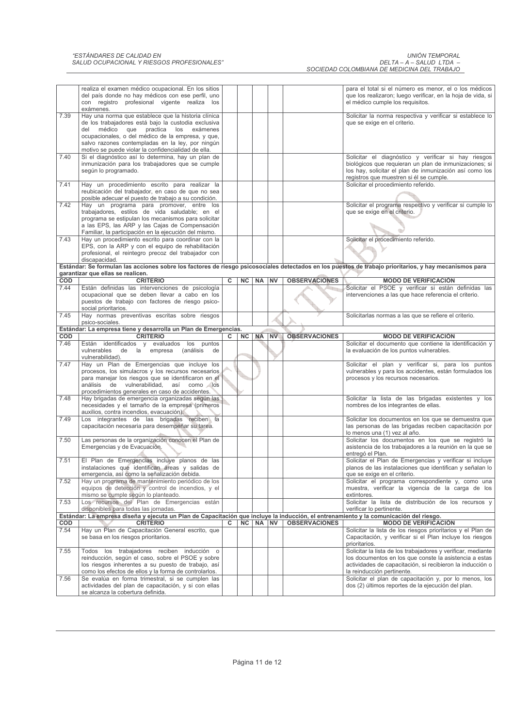|            | realiza el examen médico ocupacional. En los sitios<br>del país donde no hay médicos con ese perfil, uno<br>con registro profesional vigente realiza los<br>exámenes.                                                                                        |   |           |           |           |                      | para el total si el número es menor, el o los médicos<br>que los realizaron; luego verificar, en la hoja de vida, si<br>el médico cumple los requisitos.                                                            |
|------------|--------------------------------------------------------------------------------------------------------------------------------------------------------------------------------------------------------------------------------------------------------------|---|-----------|-----------|-----------|----------------------|---------------------------------------------------------------------------------------------------------------------------------------------------------------------------------------------------------------------|
| 7.39       | Hay una norma que establece que la historia clínica<br>de los trabajadores está bajo la custodia exclusiva<br>del médico que practica los exámenes<br>ocupacionales, o del médico de la empresa, y que,<br>salvo razones contempladas en la ley, por ningún  |   |           |           |           |                      | Solicitar la norma respectiva y verificar si establece lo<br>que se exige en el criterio.                                                                                                                           |
| 7.40       | motivo se puede violar la confidencialidad de ella.<br>Si el diagnóstico así lo determina, hay un plan de<br>inmunización para los trabajadores que se cumple<br>según lo programado.                                                                        |   |           |           |           |                      | Solicitar el diagnóstico y verificar si hay riesgos<br>biológicos que requieran un plan de inmunizaciones; si<br>los hay, solicitar el plan de inmunización así como los<br>registros que muestren si él se cumple. |
| 7.41       | Hay un procedimiento escrito para realizar la<br>reubicación del trabajador, en caso de que no sea<br>posible adecuar el puesto de trabajo a su condición.                                                                                                   |   |           |           |           |                      | Solicitar el procedimiento referido.                                                                                                                                                                                |
| 7.42       | Hay un programa para promover, entre los<br>trabajadores, estilos de vida saludable; en el<br>programa se estipulan los mecanismos para solicitar<br>a las EPS, las ARP y las Cajas de Compensación<br>Familiar, la participación en la ejecución del mismo. |   |           |           |           |                      | Solicitar el programa respectivo y verificar si cumple lo<br>que se exige en el criterio.                                                                                                                           |
| 7.43       | Hay un procedimiento escrito para coordinar con la<br>EPS, con la ARP y con el equipo de rehabilitación<br>profesional, el reintegro precoz del trabajador con<br>discapacidad.                                                                              |   |           |           |           |                      | Solicitar el procedimiento referido.                                                                                                                                                                                |
|            | garantizar que ellas se realicen.                                                                                                                                                                                                                            |   |           |           |           |                      | Estándar: Se formulan las acciones sobre los factores de riesgo psicosociales detectados en los puestos de trabajo prioritarios, y hay mecanismos para                                                              |
| <b>COD</b> | <b>CRITERIO</b>                                                                                                                                                                                                                                              | c | <b>NC</b> | <b>NA</b> | <b>NV</b> | <b>OBSERVACIONES</b> | <b>MODO DE VERIFICACIÓN</b>                                                                                                                                                                                         |
| 7.44       | Están definidas las intervenciones de psicología<br>ocupacional que se deben llevar a cabo en los<br>puestos de trabajo con factores de riesgo psico-<br>social prioritarios.                                                                                |   |           |           |           |                      | Solicitar el PSOE y verificar si están definidas las<br>intervenciones a las que hace referencia el criterio.                                                                                                       |
| 7.45       | Hay normas preventivas escritas sobre riesgos<br>psico-sociales.                                                                                                                                                                                             |   |           |           |           |                      | Solicitarlas normas a las que se refiere el criterio.                                                                                                                                                               |
|            | Estándar: La empresa tiene y desarrolla un Plan de Emergencias.                                                                                                                                                                                              |   |           |           |           |                      |                                                                                                                                                                                                                     |
| <b>COD</b> | <b>CRITERIO</b>                                                                                                                                                                                                                                              | C |           | NC NA     | <b>NV</b> | <b>OBSERVACIONES</b> | <b>MODO DE VERIFICACIÓN</b>                                                                                                                                                                                         |
| 7.46       | Están identificados y evaluados los puntos                                                                                                                                                                                                                   |   |           |           |           |                      |                                                                                                                                                                                                                     |
|            | vulnerables de la empresa<br>(análisis<br>de<br>vulnerabilidad).                                                                                                                                                                                             |   |           |           |           |                      | Solicitar el documento que contiene la identificación y<br>la evaluación de los puntos vulnerables.                                                                                                                 |
| 7.47       | Hay un Plan de Emergencias que incluye los<br>procesos, los simulacros y los recursos necesarios<br>para manejar los riesgos que se identificaron en el<br>análisis de vulnerabilidad, así como los                                                          |   |           |           |           |                      | Solicitar el plan y verificar si, para los puntos<br>vulnerables y para los accidentes, están formulados los<br>procesos y los recursos necesarios.                                                                 |
| 7.48       | procedimientos generales en caso de accidentes.<br>Hay brigadas de emergencia organizadas según las<br>necesidades y el tamaño de la empresa (primeros                                                                                                       |   |           |           |           |                      | Solicitar la lista de las brigadas existentes y los<br>nombres de los integrantes de ellas.                                                                                                                         |
| 7.49       | auxilios, contra incendios, evacuación).<br>Los integrantes de las brigadas reciben la<br>capacitación necesaria para desempeñar su tarea.                                                                                                                   |   |           |           |           |                      | Solicitar los documentos en los que se demuestra que<br>las personas de las brigadas reciben capacitación por                                                                                                       |
| 7.50       | Las personas de la organización conocen el Plan de<br>Emergencias y de Evacuación.                                                                                                                                                                           |   |           |           |           |                      | lo menos una (1) vez al año.<br>Solicitar los documentos en los que se registró la<br>asistencia de los trabajadores a la reunión en la que se                                                                      |
| 7.51       | El Plan de Emergencias incluye planos de las<br>instalaciones que identifican áreas y salidas de                                                                                                                                                             |   |           |           |           |                      | entregó el Plan.<br>Solicitar el Plan de Emergencias y verificar si incluye<br>planos de las instalaciones que identifican y señalan lo                                                                             |
| 7.52       | emergencia, así como la señalización debida.<br>Hay un programa de mantenimiento periódico de los<br>equipos de detección y control de incendios, y el                                                                                                       |   |           |           |           |                      | que se exige en el criterio.<br>Solicitar el programa correspondiente y, como una<br>muestra, verificar la vigencia de la carga de los                                                                              |
| 7.53       | mismo se cumple según lo planteado.<br>Los recursos del Plan de Emergencias están                                                                                                                                                                            |   |           |           |           |                      | extintores.<br>Solicitar la lista de distribución de los recursos y                                                                                                                                                 |
|            | disponibles para todas las jornadas.                                                                                                                                                                                                                         |   |           |           |           |                      | verificar lo pertinente.                                                                                                                                                                                            |
| COD        | Estándar: La empresa diseña y ejecuta un Plan de Capacitación que incluye la inducción, el entrenamiento y la comunicación del riesgo.<br><b>CRITERIO</b>                                                                                                    | c | NC        | NA        | <b>NV</b> | <b>OBSERVACIONES</b> | <b>MODO DE VERIFICACIÓN</b>                                                                                                                                                                                         |
| 7.54       | Hay un Plan de Capacitación General escrito, que<br>se basa en los riesgos prioritarios.                                                                                                                                                                     |   |           |           |           |                      | Solicitar la lista de los riesgos prioritarios y el Plan de<br>Capacitación, y verificar si el Plan incluye los riesgos<br>prioritarios.                                                                            |
| 7.55       | Todos los trabajadores reciben inducción o<br>reinducción, según el caso, sobre el PSOE y sobre                                                                                                                                                              |   |           |           |           |                      | Solicitar la lista de los trabajadores y verificar, mediante<br>los documentos en los que conste la asistencia a estas                                                                                              |
| 7.56       | los riesgos inherentes a su puesto de trabajo, así<br>como los efectos de ellos y la forma de controlarlos.<br>Se evalúa en forma trimestral, si se cumplen las                                                                                              |   |           |           |           |                      | actividades de capacitación, si recibieron la inducción o<br>la reinducción pertinente.<br>Solicitar el plan de capacitación y, por lo menos, los                                                                   |